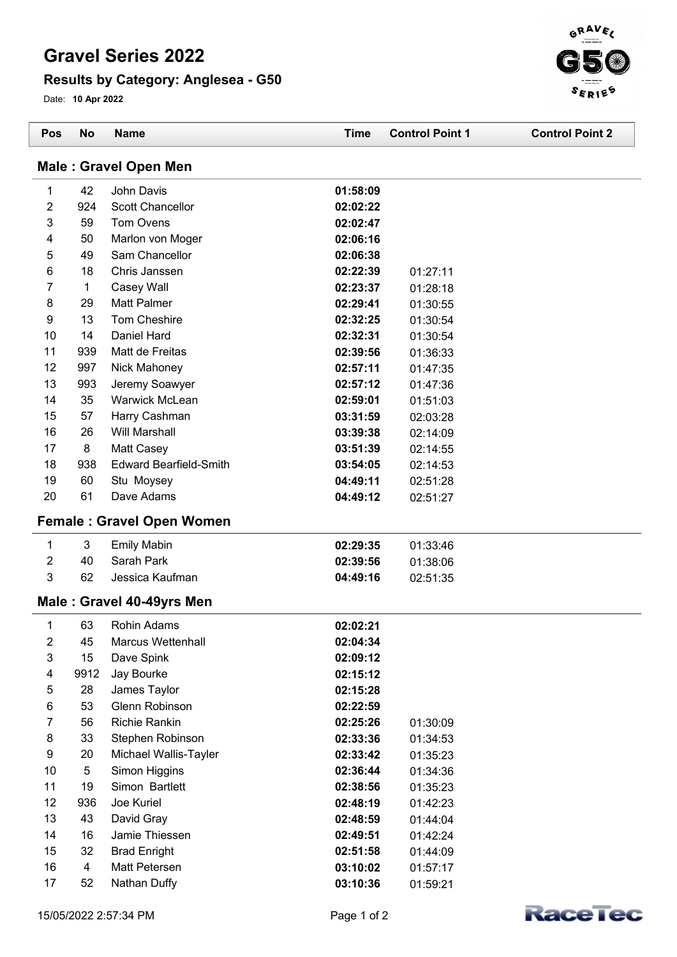## **Gravel Series 2022**

## **Results by Category: Anglesea - G50**

Date: **10 Apr 2022**



| Pos            | <b>No</b>    | <b>Name</b>                      | <b>Time</b> | <b>Control Point 1</b> | <b>Control Point 2</b> |
|----------------|--------------|----------------------------------|-------------|------------------------|------------------------|
|                |              | <b>Male: Gravel Open Men</b>     |             |                        |                        |
| 1              | 42           | John Davis                       | 01:58:09    |                        |                        |
| 2              | 924          | <b>Scott Chancellor</b>          | 02:02:22    |                        |                        |
| 3              | 59           | Tom Ovens                        | 02:02:47    |                        |                        |
| 4              | 50           | Marlon von Moger                 | 02:06:16    |                        |                        |
| 5              | 49           | Sam Chancellor                   | 02:06:38    |                        |                        |
| 6              | 18           | Chris Janssen                    | 02:22:39    | 01:27:11               |                        |
| 7              | $\mathbf{1}$ | Casey Wall                       | 02:23:37    | 01:28:18               |                        |
| 8              | 29           | <b>Matt Palmer</b>               | 02:29:41    | 01:30:55               |                        |
| 9              | 13           | Tom Cheshire                     | 02:32:25    | 01:30:54               |                        |
| 10             | 14           | Daniel Hard                      | 02:32:31    | 01:30:54               |                        |
| 11             | 939          | Matt de Freitas                  | 02:39:56    | 01:36:33               |                        |
| 12             | 997          | Nick Mahoney                     | 02:57:11    | 01:47:35               |                        |
| 13             | 993          | Jeremy Soawyer                   | 02:57:12    | 01:47:36               |                        |
| 14             | 35           | Warwick McLean                   | 02:59:01    | 01:51:03               |                        |
| 15             | 57           | Harry Cashman                    | 03:31:59    | 02:03:28               |                        |
| 16             | 26           | <b>Will Marshall</b>             | 03:39:38    | 02:14:09               |                        |
| 17             | 8            | Matt Casey                       | 03:51:39    | 02:14:55               |                        |
| 18             | 938          | <b>Edward Bearfield-Smith</b>    | 03:54:05    | 02:14:53               |                        |
| 19             | 60           | Stu Moysey                       | 04:49:11    | 02:51:28               |                        |
| 20             | 61           | Dave Adams                       | 04:49:12    | 02:51:27               |                        |
|                |              | <b>Female: Gravel Open Women</b> |             |                        |                        |
| 1              | 3            | <b>Emily Mabin</b>               | 02:29:35    | 01:33:46               |                        |
| $\overline{2}$ | 40           | Sarah Park                       | 02:39:56    | 01:38:06               |                        |
| 3              | 62           | Jessica Kaufman                  | 04:49:16    | 02:51:35               |                        |
|                |              | Male: Gravel 40-49yrs Men        |             |                        |                        |
|                |              |                                  |             |                        |                        |
| 1              | 63           | Rohin Adams                      | 02:02:21    |                        |                        |
| $\overline{c}$ | 45           | <b>Marcus Wettenhall</b>         | 02:04:34    |                        |                        |
| 3              | 15           | Dave Spink                       | 02:09:12    |                        |                        |
| 4              | 9912         | Jay Bourke                       | 02:15:12    |                        |                        |
| 5              | 28           | James Taylor                     | 02:15:28    |                        |                        |
| $\,6$          | 53           | Glenn Robinson                   | 02:22:59    |                        |                        |
| 7              | 56           | <b>Richie Rankin</b>             | 02:25:26    | 01:30:09               |                        |
| 8              | 33           | Stephen Robinson                 | 02:33:36    | 01:34:53               |                        |
| 9              | 20           | Michael Wallis-Tayler            | 02:33:42    | 01:35:23               |                        |
| 10             | 5            | Simon Higgins                    | 02:36:44    | 01:34:36               |                        |
| 11             | 19           | Simon Bartlett                   | 02:38:56    | 01:35:23               |                        |
| 12             | 936          | Joe Kuriel                       | 02:48:19    | 01:42:23               |                        |
| 13             | 43           | David Gray                       | 02:48:59    | 01:44:04               |                        |
| 14             | 16           | Jamie Thiessen                   | 02:49:51    | 01:42:24               |                        |
| 15             | 32           | <b>Brad Enright</b>              | 02:51:58    | 01:44:09               |                        |
| 16             | 4            | Matt Petersen                    | 03:10:02    | 01:57:17               |                        |
| 17             | 52           | Nathan Duffy                     | 03:10:36    | 01:59:21               |                        |